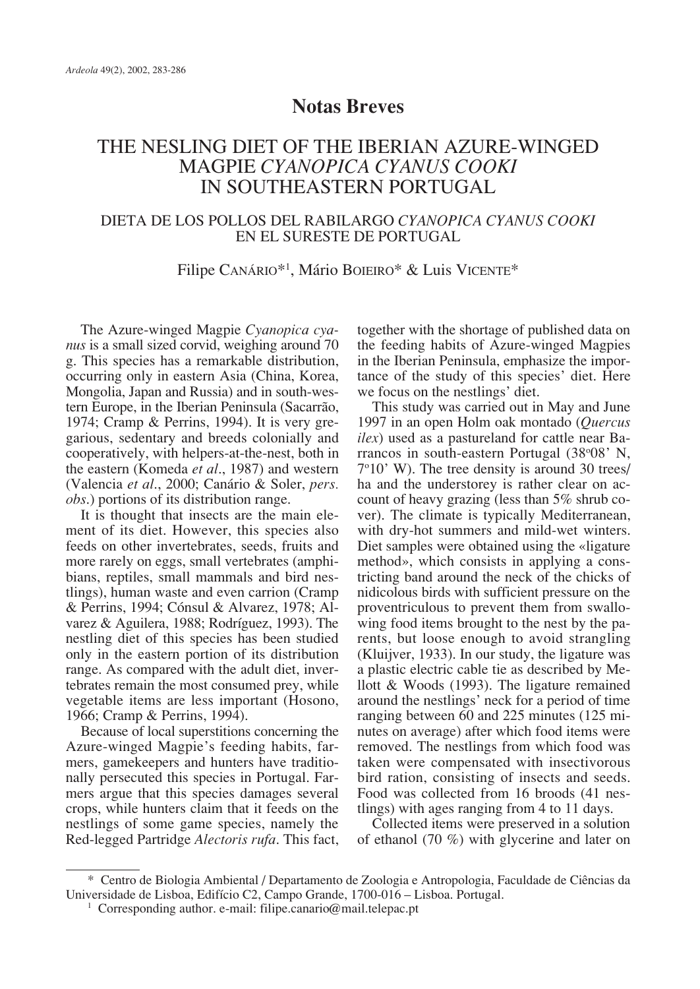## **Notas Breves**

# THE NESLING DIET OF THE IBERIAN AZURE-WINGED MAGPIE *CYANOPICA CYANUS COOKI* IN SOUTHEASTERN PORTUGAL

### DIETA DE LOS POLLOS DEL RABILARGO *CYANOPICA CYANUS COOKI* EN EL SURESTE DE PORTUGAL

### Filipe Canário<sup>\*1</sup>, Mário Boieiro\* & Luis Vicente\*

The Azure-winged Magpie *Cyanopica cyanus* is a small sized corvid, weighing around 70 g. This species has a remarkable distribution, occurring only in eastern Asia (China, Korea, Mongolia, Japan and Russia) and in south-western Europe, in the Iberian Peninsula (Sacarrão, 1974; Cramp & Perrins, 1994). It is very gregarious, sedentary and breeds colonially and cooperatively, with helpers-at-the-nest, both in the eastern (Komeda *et al*., 1987) and western (Valencia *et al*., 2000; Canário & Soler, *pers. obs*.) portions of its distribution range.

It is thought that insects are the main element of its diet. However, this species also feeds on other invertebrates, seeds, fruits and more rarely on eggs, small vertebrates (amphibians, reptiles, small mammals and bird nestlings), human waste and even carrion (Cramp & Perrins, 1994; Cónsul & Alvarez, 1978; Alvarez & Aguilera, 1988; Rodríguez, 1993). The nestling diet of this species has been studied only in the eastern portion of its distribution range. As compared with the adult diet, invertebrates remain the most consumed prey, while vegetable items are less important (Hosono, 1966; Cramp & Perrins, 1994).

Because of local superstitions concerning the Azure-winged Magpie's feeding habits, farmers, gamekeepers and hunters have traditionally persecuted this species in Portugal. Farmers argue that this species damages several crops, while hunters claim that it feeds on the nestlings of some game species, namely the Red-legged Partridge *Alectoris rufa*. This fact, together with the shortage of published data on the feeding habits of Azure-winged Magpies in the Iberian Peninsula, emphasize the importance of the study of this species' diet. Here we focus on the nestlings' diet.

This study was carried out in May and June 1997 in an open Holm oak montado (*Quercus ilex*) used as a pastureland for cattle near Barrancos in south-eastern Portugal (38°08' N, 7o 10' W). The tree density is around 30 trees/ ha and the understorey is rather clear on account of heavy grazing (less than 5% shrub cover). The climate is typically Mediterranean, with dry-hot summers and mild-wet winters. Diet samples were obtained using the «ligature method», which consists in applying a constricting band around the neck of the chicks of nidicolous birds with sufficient pressure on the proventriculous to prevent them from swallowing food items brought to the nest by the parents, but loose enough to avoid strangling (Kluijver, 1933). In our study, the ligature was a plastic electric cable tie as described by Mellott & Woods (1993). The ligature remained around the nestlings' neck for a period of time ranging between 60 and 225 minutes (125 minutes on average) after which food items were removed. The nestlings from which food was taken were compensated with insectivorous bird ration, consisting of insects and seeds. Food was collected from 16 broods (41 nestlings) with ages ranging from 4 to 11 days.

Collected items were preserved in a solution of ethanol (70 %) with glycerine and later on

<sup>\*</sup> Centro de Biologia Ambiental / Departamento de Zoologia e Antropologia, Faculdade de Ciências da Universidade de Lisboa, Edifício C2, Campo Grande, 1700-016 – Lisboa. Portugal.

<sup>&</sup>lt;sup>1</sup> Corresponding author. e-mail: filipe.canario@mail.telepac.pt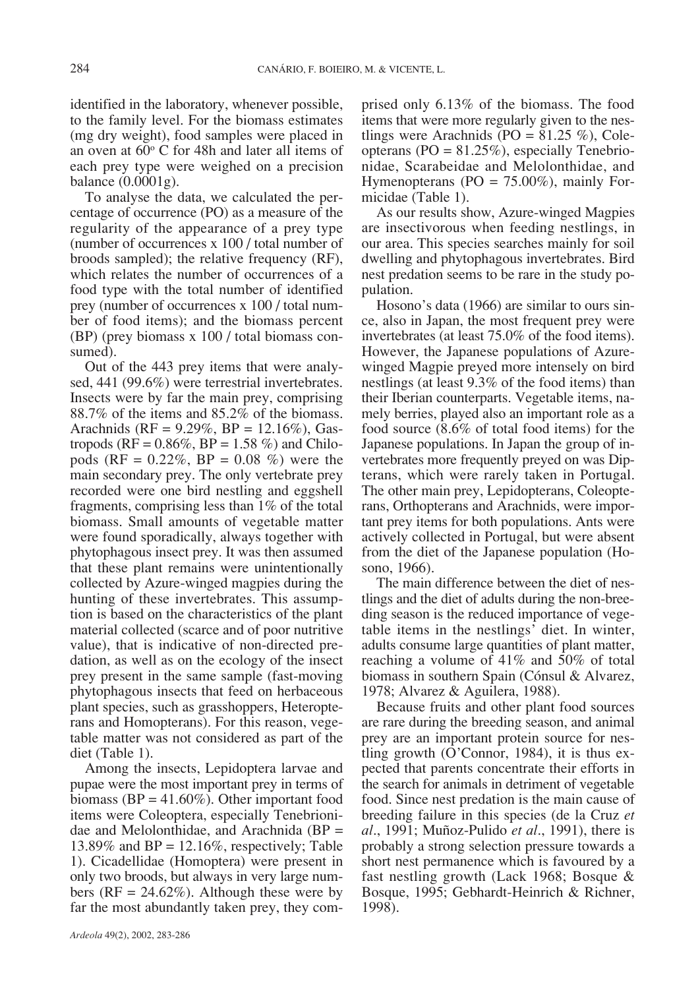identified in the laboratory, whenever possible, to the family level. For the biomass estimates (mg dry weight), food samples were placed in an oven at  $60^{\circ}$  C for 48h and later all items of each prey type were weighed on a precision balance (0.0001g).

To analyse the data, we calculated the percentage of occurrence (PO) as a measure of the regularity of the appearance of a prey type (number of occurrences x 100 / total number of broods sampled); the relative frequency (RF), which relates the number of occurrences of a food type with the total number of identified prey (number of occurrences x 100 / total number of food items); and the biomass percent (BP) (prey biomass x 100 / total biomass consumed).

Out of the 443 prey items that were analysed, 441 (99.6%) were terrestrial invertebrates. Insects were by far the main prey, comprising 88.7% of the items and 85.2% of the biomass. Arachnids (RF = 9.29%, BP = 12.16%), Gastropods ( $RF = 0.86\%$ ,  $BP = 1.58\%$ ) and Chilopods (RF =  $0.22\%$ , BP =  $0.08\%$ ) were the main secondary prey. The only vertebrate prey recorded were one bird nestling and eggshell fragments, comprising less than 1% of the total biomass. Small amounts of vegetable matter were found sporadically, always together with phytophagous insect prey. It was then assumed that these plant remains were unintentionally collected by Azure-winged magpies during the hunting of these invertebrates. This assumption is based on the characteristics of the plant material collected (scarce and of poor nutritive value), that is indicative of non-directed predation, as well as on the ecology of the insect prey present in the same sample (fast-moving phytophagous insects that feed on herbaceous plant species, such as grasshoppers, Heteropterans and Homopterans). For this reason, vegetable matter was not considered as part of the diet (Table 1).

Among the insects, Lepidoptera larvae and pupae were the most important prey in terms of biomass ( $BP = 41.60\%$ ). Other important food items were Coleoptera, especially Tenebrionidae and Melolonthidae, and Arachnida (BP = 13.89% and  $BP = 12.16\%$ , respectively; Table 1). Cicadellidae (Homoptera) were present in only two broods, but always in very large numbers ( $RF = 24.62\%)$ . Although these were by far the most abundantly taken prey, they comprised only 6.13% of the biomass. The food items that were more regularly given to the nestlings were Arachnids (PO =  $81.25\%$ ), Coleopterans ( $PO = 81.25\%$ ), especially Tenebrionidae, Scarabeidae and Melolonthidae, and Hymenopterans ( $PO = 75.00\%$ ), mainly Formicidae (Table 1).

As our results show, Azure-winged Magpies are insectivorous when feeding nestlings, in our area. This species searches mainly for soil dwelling and phytophagous invertebrates. Bird nest predation seems to be rare in the study population.

Hosono's data (1966) are similar to ours since, also in Japan, the most frequent prey were invertebrates (at least 75.0% of the food items). However, the Japanese populations of Azurewinged Magpie preyed more intensely on bird nestlings (at least 9.3% of the food items) than their Iberian counterparts. Vegetable items, namely berries, played also an important role as a food source (8.6% of total food items) for the Japanese populations. In Japan the group of invertebrates more frequently preyed on was Dipterans, which were rarely taken in Portugal. The other main prey, Lepidopterans, Coleopterans, Orthopterans and Arachnids, were important prey items for both populations. Ants were actively collected in Portugal, but were absent from the diet of the Japanese population (Hosono, 1966).

The main difference between the diet of nestlings and the diet of adults during the non-breeding season is the reduced importance of vegetable items in the nestlings' diet. In winter, adults consume large quantities of plant matter, reaching a volume of 41% and 50% of total biomass in southern Spain (Cónsul & Alvarez, 1978; Alvarez & Aguilera, 1988).

Because fruits and other plant food sources are rare during the breeding season, and animal prey are an important protein source for nestling growth  $(O'Connor, 1984)$ , it is thus expected that parents concentrate their efforts in the search for animals in detriment of vegetable food. Since nest predation is the main cause of breeding failure in this species (de la Cruz *et al*., 1991; Muñoz-Pulido *et al*., 1991), there is probably a strong selection pressure towards a short nest permanence which is favoured by a fast nestling growth (Lack 1968; Bosque & Bosque, 1995; Gebhardt-Heinrich & Richner, 1998).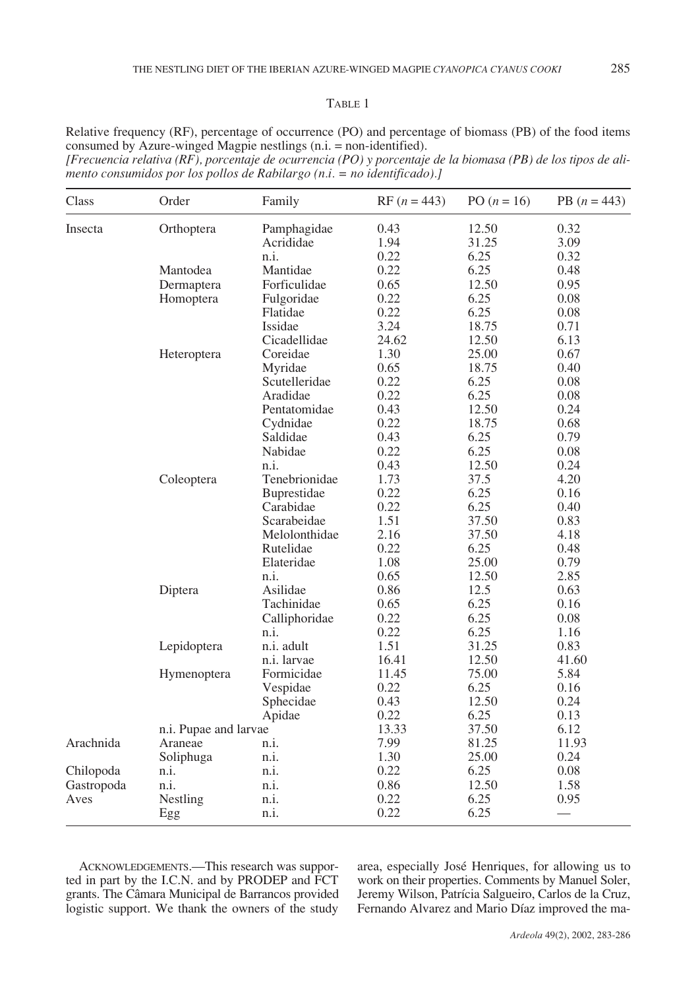#### TABLE 1

Relative frequency (RF), percentage of occurrence (PO) and percentage of biomass (PB) of the food items consumed by Azure-winged Magpie nestlings (n.i. = non-identified).

*[Frecuencia relativa (RF), porcentaje de ocurrencia (PO) y porcentaje de la biomasa (PB) de los tipos de alimento consumidos por los pollos de Rabilargo (n.i. = no identificado).]*

| Class      | Order                 | Family        | $RF (n = 443)$ | PO $(n = 16)$ | PB $(n = 443)$           |
|------------|-----------------------|---------------|----------------|---------------|--------------------------|
| Insecta    | Orthoptera            | Pamphagidae   | 0.43           | 12.50         | 0.32                     |
|            |                       | Acrididae     | 1.94           | 31.25         | 3.09                     |
|            |                       | n.i.          | 0.22           | 6.25          | 0.32                     |
|            | Mantodea              | Mantidae      | 0.22           | 6.25          | 0.48                     |
|            | Dermaptera            | Forficulidae  | 0.65           | 12.50         | 0.95                     |
|            | Homoptera             | Fulgoridae    | 0.22           | 6.25          | 0.08                     |
|            |                       | Flatidae      | 0.22           | 6.25          | 0.08                     |
|            |                       | Issidae       | 3.24           | 18.75         | 0.71                     |
|            |                       | Cicadellidae  | 24.62          | 12.50         | 6.13                     |
|            | Heteroptera           | Coreidae      | 1.30           | 25.00         | 0.67                     |
|            |                       | Myridae       | 0.65           | 18.75         | 0.40                     |
|            |                       | Scutelleridae | 0.22           | 6.25          | 0.08                     |
|            |                       | Aradidae      | 0.22           | 6.25          | 0.08                     |
|            |                       | Pentatomidae  | 0.43           | 12.50         | 0.24                     |
|            |                       | Cydnidae      | 0.22           | 18.75         | 0.68                     |
|            |                       | Saldidae      | 0.43           | 6.25          | 0.79                     |
|            |                       | Nabidae       | 0.22           | 6.25          | 0.08                     |
|            |                       | n.i.          | 0.43           | 12.50         | 0.24                     |
|            | Coleoptera            | Tenebrionidae | 1.73           | 37.5          | 4.20                     |
|            |                       | Buprestidae   | 0.22           | 6.25          | 0.16                     |
|            |                       | Carabidae     | 0.22           | 6.25          | 0.40                     |
|            |                       | Scarabeidae   | 1.51           | 37.50         | 0.83                     |
|            |                       | Melolonthidae | 2.16           | 37.50         | 4.18                     |
|            |                       | Rutelidae     | 0.22           | 6.25          | 0.48                     |
|            |                       | Elateridae    | 1.08           | 25.00         | 0.79                     |
|            |                       | n.i.          | 0.65           | 12.50         | 2.85                     |
|            | Diptera               | Asilidae      | 0.86           | 12.5          | 0.63                     |
|            |                       | Tachinidae    | 0.65           | 6.25          | 0.16                     |
|            |                       | Calliphoridae | 0.22           | 6.25          | 0.08                     |
|            |                       | n.i.          | 0.22           | 6.25          | 1.16                     |
|            | Lepidoptera           | n.i. adult    | 1.51           | 31.25         | 0.83                     |
|            |                       | n.i. larvae   | 16.41          | 12.50         | 41.60                    |
|            | Hymenoptera           | Formicidae    | 11.45          | 75.00         | 5.84                     |
|            |                       | Vespidae      | 0.22           | 6.25          | $0.16\,$                 |
|            |                       | Sphecidae     | 0.43           | 12.50         | 0.24                     |
|            |                       | Apidae        | 0.22           | 6.25          | 0.13                     |
|            | n.i. Pupae and larvae |               | 13.33          | 37.50         | 6.12                     |
| Arachnida  | Araneae               | n.i.          | 7.99           | 81.25         | 11.93                    |
|            | Soliphuga             | n.i.          | 1.30           | 25.00         | 0.24                     |
| Chilopoda  | n.i.                  | n.i.          | 0.22           | 6.25          | 0.08                     |
| Gastropoda | n.i.                  | n.i.          | 0.86           | 12.50         | 1.58                     |
| Aves       | Nestling              | n.i.          | 0.22           | 6.25          | 0.95                     |
|            | Egg                   | n.i.          | 0.22           | 6.25          | $\overline{\phantom{0}}$ |
|            |                       |               |                |               |                          |

ACKNOWLEDGEMENTS.—This research was supported in part by the I.C.N. and by PRODEP and FCT grants. The Câmara Municipal de Barrancos provided logistic support. We thank the owners of the study

area, especially José Henriques, for allowing us to work on their properties. Comments by Manuel Soler, Jeremy Wilson, Patrícia Salgueiro, Carlos de la Cruz, Fernando Alvarez and Mario Díaz improved the ma